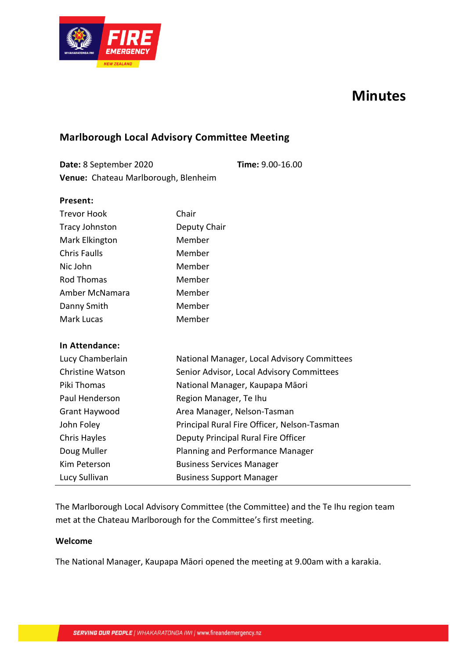

# **Minutes**

### **Marlborough Local Advisory Committee Meeting**

| Date: 8 September 2020               | Time: 9.00-16.00 |
|--------------------------------------|------------------|
| Venue: Chateau Marlborough, Blenheim |                  |

| Present:                |                                             |
|-------------------------|---------------------------------------------|
| <b>Trevor Hook</b>      | Chair                                       |
| <b>Tracy Johnston</b>   | Deputy Chair                                |
| Mark Elkington          | Member                                      |
| <b>Chris Faulls</b>     | Member                                      |
| Nic John                | Member                                      |
| <b>Rod Thomas</b>       | Member                                      |
| Amber McNamara          | Member                                      |
| Danny Smith             | Member                                      |
| Mark Lucas              | Member                                      |
|                         |                                             |
| In Attendance:          |                                             |
| Lucy Chamberlain        | National Manager, Local Advisory Committees |
| <b>Christine Watson</b> | Senior Advisor, Local Advisory Committees   |
| Piki Thomas             | National Manager, Kaupapa Māori             |
| Paul Henderson          | Region Manager, Te Ihu                      |
| Grant Haywood           | Area Manager, Nelson-Tasman                 |
| John Foley              | Principal Rural Fire Officer, Nelson-Tasman |
| Chris Hayles            | Deputy Principal Rural Fire Officer         |
| Doug Muller             | Planning and Performance Manager            |
| Kim Peterson            | <b>Business Services Manager</b>            |
| Lucy Sullivan           | <b>Business Support Manager</b>             |

The Marlborough Local Advisory Committee (the Committee) and the Te Ihu region team met at the Chateau Marlborough for the Committee's first meeting.

#### **Welcome**

The National Manager, Kaupapa Māori opened the meeting at 9.00am with a karakia.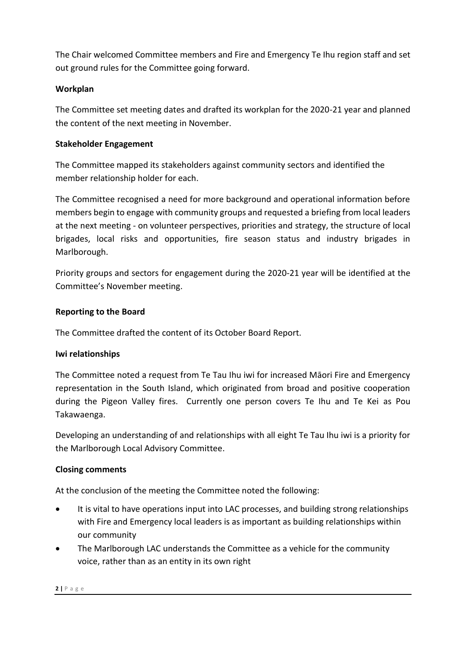The Chair welcomed Committee members and Fire and Emergency Te Ihu region staff and set out ground rules for the Committee going forward.

#### **Workplan**

The Committee set meeting dates and drafted its workplan for the 2020-21 year and planned the content of the next meeting in November.

#### **Stakeholder Engagement**

The Committee mapped its stakeholders against community sectors and identified the member relationship holder for each.

The Committee recognised a need for more background and operational information before members begin to engage with community groups and requested a briefing from local leaders at the next meeting - on volunteer perspectives, priorities and strategy, the structure of local brigades, local risks and opportunities, fire season status and industry brigades in Marlborough.

Priority groups and sectors for engagement during the 2020-21 year will be identified at the Committee's November meeting.

#### **Reporting to the Board**

The Committee drafted the content of its October Board Report.

#### **Iwi relationships**

The Committee noted a request from Te Tau Ihu iwi for increased Māori Fire and Emergency representation in the South Island, which originated from broad and positive cooperation during the Pigeon Valley fires. Currently one person covers Te Ihu and Te Kei as Pou Takawaenga.

Developing an understanding of and relationships with all eight Te Tau Ihu iwi is a priority for the Marlborough Local Advisory Committee.

#### **Closing comments**

At the conclusion of the meeting the Committee noted the following:

- It is vital to have operations input into LAC processes, and building strong relationships with Fire and Emergency local leaders is as important as building relationships within our community
- The Marlborough LAC understands the Committee as a vehicle for the community voice, rather than as an entity in its own right